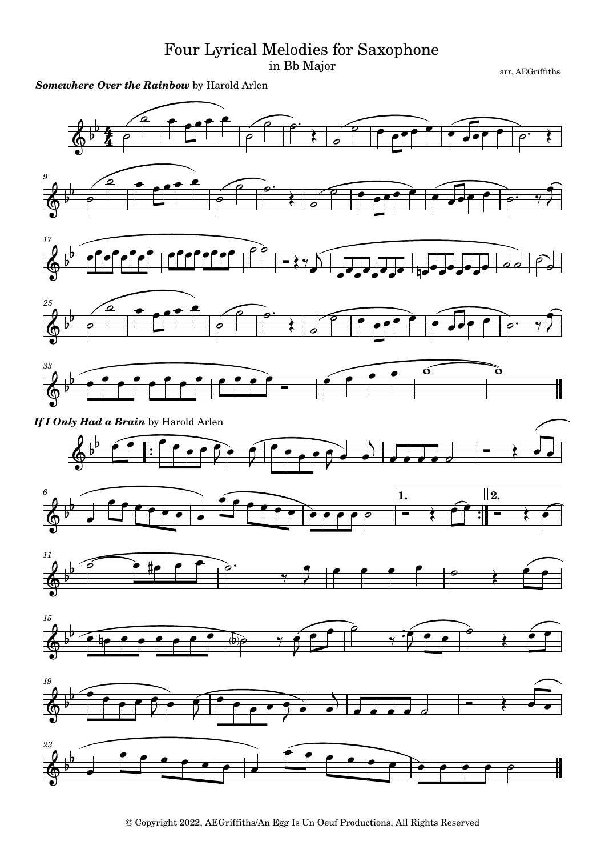## Four Lyrical Melodies for Saxophone

in Bb Major

arr. AEGriffiths





© Copyright 2022, AEGriffiths/An Egg Is Un Oeuf Productions, All Rights Reserved